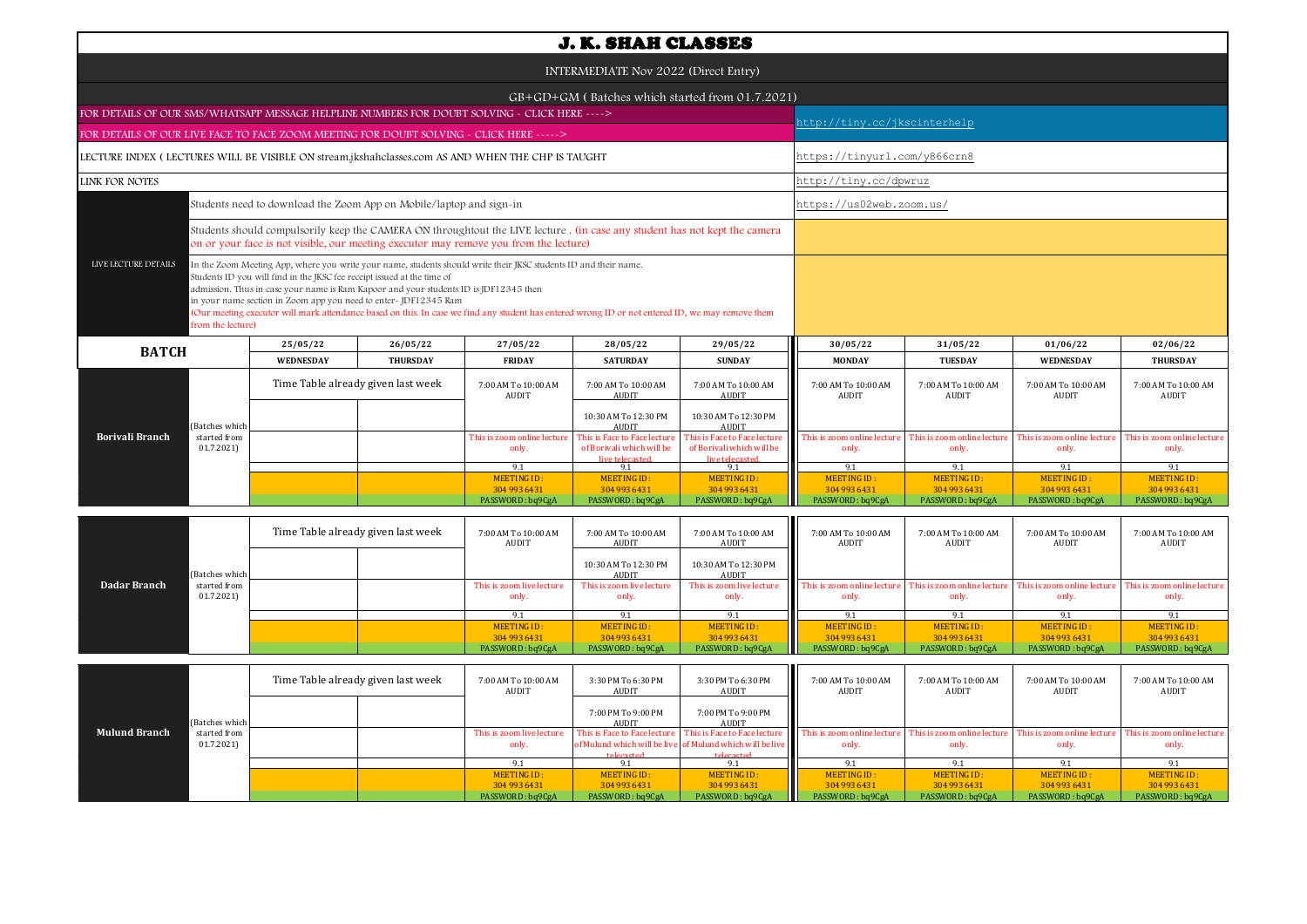| <b>J. K. SHAH CLASSES</b>                                                                                                                                                                                                                                                                                                                                                                                                                                                                                                                                |                           |           |                                    |                                                                                                                                                                                                                     |                                                                              |                                                                              |                                     |                                     |                                      |                                      |  |  |
|----------------------------------------------------------------------------------------------------------------------------------------------------------------------------------------------------------------------------------------------------------------------------------------------------------------------------------------------------------------------------------------------------------------------------------------------------------------------------------------------------------------------------------------------------------|---------------------------|-----------|------------------------------------|---------------------------------------------------------------------------------------------------------------------------------------------------------------------------------------------------------------------|------------------------------------------------------------------------------|------------------------------------------------------------------------------|-------------------------------------|-------------------------------------|--------------------------------------|--------------------------------------|--|--|
| INTERMEDIATE Nov 2022 (Direct Entry)                                                                                                                                                                                                                                                                                                                                                                                                                                                                                                                     |                           |           |                                    |                                                                                                                                                                                                                     |                                                                              |                                                                              |                                     |                                     |                                      |                                      |  |  |
|                                                                                                                                                                                                                                                                                                                                                                                                                                                                                                                                                          |                           |           |                                    | GB+GD+GM (Batches which started from 01.7.2021)                                                                                                                                                                     |                                                                              |                                                                              |                                     |                                     |                                      |                                      |  |  |
| FOR DETAILS OF OUR SMS/WHATSAPP MESSAGE HELPLINE NUMBERS FOR DOUBT SOLVING - CLICK HERE ---->                                                                                                                                                                                                                                                                                                                                                                                                                                                            |                           |           |                                    |                                                                                                                                                                                                                     |                                                                              |                                                                              |                                     | http://tiny.cc/jkscinterhelp        |                                      |                                      |  |  |
| FOR DETAILS OF OUR LIVE FACE TO FACE ZOOM MEETING FOR DOUBT SOLVING - CLICK HERE ----->                                                                                                                                                                                                                                                                                                                                                                                                                                                                  |                           |           |                                    |                                                                                                                                                                                                                     |                                                                              |                                                                              |                                     |                                     |                                      |                                      |  |  |
| LECTURE INDEX (LECTURES WILL BE VISIBLE ON stream.jkshahclasses.com AS AND WHEN THE CHP IS TAUGHT                                                                                                                                                                                                                                                                                                                                                                                                                                                        |                           |           |                                    |                                                                                                                                                                                                                     |                                                                              |                                                                              |                                     | https://tinyurl.com/y866crn8        |                                      |                                      |  |  |
| <b>LINK FOR NOTES</b>                                                                                                                                                                                                                                                                                                                                                                                                                                                                                                                                    |                           |           |                                    |                                                                                                                                                                                                                     |                                                                              |                                                                              | http://tiny.cc/dpwruz               |                                     |                                      |                                      |  |  |
| Students need to download the Zoom App on Mobile/laptop and sign-in                                                                                                                                                                                                                                                                                                                                                                                                                                                                                      |                           |           |                                    |                                                                                                                                                                                                                     |                                                                              |                                                                              |                                     | https://us02web.zoom.us/            |                                      |                                      |  |  |
|                                                                                                                                                                                                                                                                                                                                                                                                                                                                                                                                                          |                           |           |                                    | Students should compulsorily keep the CAMERA ON throughtout the LIVE lecture. (in case any student has not kept the camera<br>on or your face is not visible, our meeting executor may remove you from the lecture) |                                                                              |                                                                              |                                     |                                     |                                      |                                      |  |  |
| LIVE LECTURE DETAILS<br>In the Zoom Meeting App, where you write your name, students should write their JKSC students ID and their name.<br>Students ID you will find in the JKSC fee receipt issued at the time of<br>admission. Thus in case your name is Ram Kapoor and your students ID is JDF12345 then<br>in your name section in Zoom app you need to enter-JDF12345 Ram<br>(Our meeting executor will mark attendance based on this. In case we find any student has entered wrong ID or not entered ID, we may remove them<br>from the lecture) |                           |           |                                    |                                                                                                                                                                                                                     |                                                                              |                                                                              |                                     |                                     |                                      |                                      |  |  |
| <b>BATCH</b>                                                                                                                                                                                                                                                                                                                                                                                                                                                                                                                                             |                           | 25/05/22  | 26/05/22                           | 27/05/22                                                                                                                                                                                                            | 28/05/22                                                                     | 29/05/22                                                                     | 30/05/22                            | 31/05/22                            | 01/06/22                             | 02/06/22                             |  |  |
|                                                                                                                                                                                                                                                                                                                                                                                                                                                                                                                                                          |                           | WEDNESDAY | <b>THURSDAY</b>                    | <b>FRIDAY</b>                                                                                                                                                                                                       | <b>SATURDAY</b>                                                              | <b>SUNDAY</b>                                                                | <b>MONDAY</b>                       | <b>TUESDAY</b>                      | <b>WEDNESDAY</b>                     | <b>THURSDAY</b>                      |  |  |
|                                                                                                                                                                                                                                                                                                                                                                                                                                                                                                                                                          |                           |           | Time Table already given last week | 7:00 AM To 10:00 AM<br>AUDIT                                                                                                                                                                                        | 7:00 AM To 10:00 AM<br>AUDIT                                                 | 7:00 AM To 10:00 AM<br>AUDIT                                                 | 7:00 AM To 10:00 AM<br><b>AUDIT</b> | 7:00 AM To 10:00 AM<br><b>AUDIT</b> | 7:00 AM To 10:00 AM<br><b>AUDIT</b>  | 7:00 AM To 10:00 AM<br>AUDIT         |  |  |
|                                                                                                                                                                                                                                                                                                                                                                                                                                                                                                                                                          | (Batches which            |           |                                    |                                                                                                                                                                                                                     | 10:30 AM To 12:30 PM<br><b>AUDIT</b>                                         | 10:30 AM To 12:30 PM<br><b>AUDIT</b>                                         |                                     |                                     |                                      |                                      |  |  |
| <b>Borivali Branch</b>                                                                                                                                                                                                                                                                                                                                                                                                                                                                                                                                   | started from<br>01.7.2021 |           |                                    | This is zoom online lecture<br>only.                                                                                                                                                                                | This is Face to Face lecture<br>of Borivali which will be<br>live telecasted | This is Face to Face lecture<br>of Borivali which will be<br>live telecasted | This is zoom online lectur<br>only. | This is zoom online lectur<br>only. | This is zoom online lecture<br>only. | This is zoom online lecture<br>only. |  |  |
|                                                                                                                                                                                                                                                                                                                                                                                                                                                                                                                                                          |                           |           |                                    | 9.1<br>MEETING ID:                                                                                                                                                                                                  | 9.1<br><b>MEETING ID:</b>                                                    | 9.1<br><b>MEETING ID:</b>                                                    | 9.1<br><b>MEETING ID:</b>           | 9.1<br><b>MEETING ID:</b>           | 9.1<br><b>MEETING ID:</b>            | 9.1<br><b>MEETING ID:</b>            |  |  |
|                                                                                                                                                                                                                                                                                                                                                                                                                                                                                                                                                          |                           |           |                                    | 304 993 6431                                                                                                                                                                                                        | 304 993 6431                                                                 | 304 993 6431                                                                 | 304 993 6431                        | 304 993 6431                        | 304 993 6431                         | 304 993 6431                         |  |  |
|                                                                                                                                                                                                                                                                                                                                                                                                                                                                                                                                                          |                           |           |                                    | PASSWORD: bq9CgA                                                                                                                                                                                                    | PASSWORD: bq9CgA                                                             | PASSWORD: bq9CgA                                                             | PASSWORD: bq9CgA                    | PASSWORD: bq9CgA                    | PASSWORD: bq9CgA                     | PASSWORD: bq9CgA                     |  |  |

|              |                | Time Table already given last week |  | 7:00 AM To 10:00 AM<br>AUDIT | 7:00 AM To 10:00 AM<br>AUDIT  | 7:00 AM To 10:00 AM<br>AUDIT  | 7:00 AM To 10:00 AM<br>AUDIT | 7:00 AM To 10:00 AM<br>AUDIT | 7:00 AM To 10:00 AM<br>AUDIT                            | 7:00 AM To 10:00 AM<br>AUDIT |
|--------------|----------------|------------------------------------|--|------------------------------|-------------------------------|-------------------------------|------------------------------|------------------------------|---------------------------------------------------------|------------------------------|
|              | (Batches which |                                    |  |                              | 10:30 AM To 12:30 PM<br>AUDIT | 10:30 AM To 12:30 PM<br>AUDIT |                              |                              |                                                         |                              |
| Dadar Branch | started from   |                                    |  | This is zoom live lecture    | This is zoom live lecture     | This is zoom live lecture     | This is zoom online lecture  | This is zoom online lecture  | This is zoom online lecture This is zoom online lecture |                              |
|              | 01.7.2021      |                                    |  | only.                        | only.                         | only.                         | only.                        | only.                        | only.                                                   | only.                        |
|              |                |                                    |  | 9.1                          |                               | 9.1                           | 9.1                          |                              |                                                         |                              |
|              |                |                                    |  | MEETING ID:                  | MEETING ID:                   | MEETING ID:                   | MEETING ID:                  | MEETING ID:                  | MEETING ID:                                             | MEETING ID:                  |
|              |                |                                    |  | 304 993 6431                 | 304 993 6431                  | 304 993 6431                  | 304 993 6431                 | 304 993 6431                 | 304 993 6431                                            | 304 993 6431                 |
|              |                |                                    |  | PASSWORD: bq9CgA             | PASSWORD: bq9CgA              | PASSWORD: bq9CgA              | PASSWORD: bq9CgA             | PASSWORD: bq9CgA             | PASSWORD: bq9CgA                                        | PASSWORD: bq9CgA             |

|                      |                | Time Table already given last week |  | 7:00 AM To 10:00 AM<br>AUDIT | 3:30 PM To 6:30 PM<br>AUDIT                               | 3:30 PM To 6:30 PM<br>AUDIT                               | 7:00 AM To 10:00 AM<br><b>AUDIT</b> | 7:00 AM To 10:00 AM<br><b>AUDIT</b> | 7:00 AM To 10:00 AM<br>AUDIT | 7:00 AM To 10:00 AM<br>AUDIT |
|----------------------|----------------|------------------------------------|--|------------------------------|-----------------------------------------------------------|-----------------------------------------------------------|-------------------------------------|-------------------------------------|------------------------------|------------------------------|
|                      | (Batches which |                                    |  |                              | 7:00 PM To 9:00 PM<br>AUDIT                               | 7:00 PM To 9:00 PM<br>AUDIT                               |                                     |                                     |                              |                              |
| <b>Mulund Branch</b> | started from   |                                    |  | This is zoom live lecture    | This is Face to Face lecture This is Face to Face lecture |                                                           | e This is zoom online lecture       | This is zoom online lecture         | This is zoom online lecture  | This is zoom online lecture  |
|                      | 01.7.2021      |                                    |  | only.                        |                                                           | of Mulund which will be live of Mulund which will be live | only.                               | only.                               | only.                        | only.                        |
|                      |                |                                    |  |                              | telecasted                                                | telecasted                                                |                                     |                                     |                              |                              |
|                      |                |                                    |  |                              |                                                           | 9.1                                                       |                                     |                                     |                              |                              |
|                      |                |                                    |  | MEETING ID:                  | MEETING ID:                                               | MEETING ID:                                               | MEETING ID:                         | MEETING ID:                         | MEETING ID:                  | <b>MEETING ID:</b>           |
|                      |                |                                    |  | 304 993 6431                 | 304 993 6431                                              | 304 993 6431                                              | 304 993 6431                        | 304 993 6431                        | 304 993 6431                 | 304 993 6431                 |
|                      |                |                                    |  | PASSWORD: bq9CgA             | PASSWORD: bq9CgA                                          | PASSWORD: ba9CgA                                          | PASSWORD: bq9CgA                    | PASSWORD: bq9CgA                    | PASSWORD: ba9CgA             | PASSWORD: bq9CgA             |